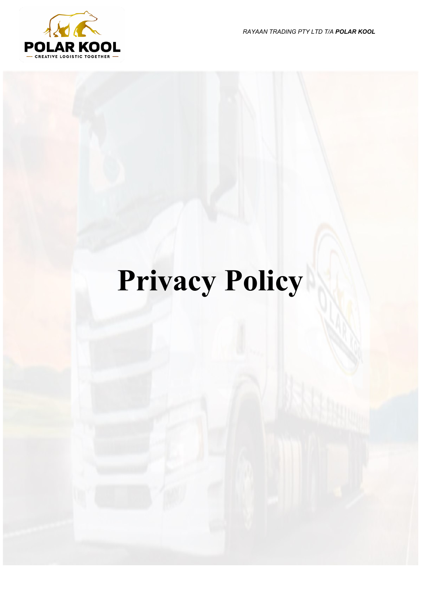*RAYAAN TRADING PTY LTD T/A POLAR KOOL*



# **Privacy Policy**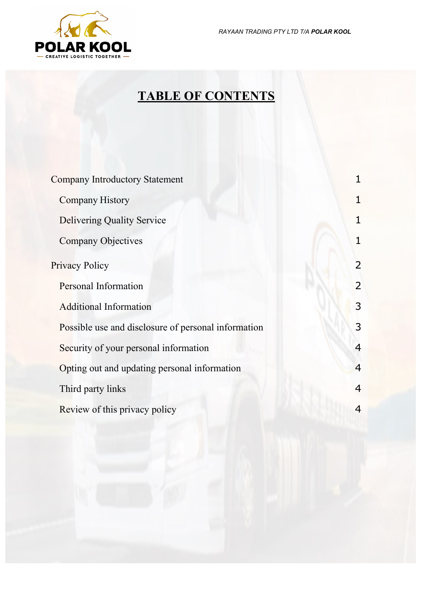*RAYAAN TRADING PTY LTD T/A POLAR KOOL*



## **TABLE OF CONTENTS**

| <b>Company Introductory Statement</b>               |                |
|-----------------------------------------------------|----------------|
| <b>Company History</b>                              |                |
| <b>Delivering Quality Service</b>                   |                |
| <b>Company Objectives</b>                           | 1              |
| <b>Privacy Policy</b>                               | $\overline{2}$ |
| Personal Information                                | $\overline{2}$ |
| <b>Additional Information</b>                       | 3              |
| Possible use and disclosure of personal information | 3              |
| Security of your personal information               | 4              |
| Opting out and updating personal information        | $\overline{4}$ |
| Third party links                                   | 4              |
| Review of this privacy policy                       | 4              |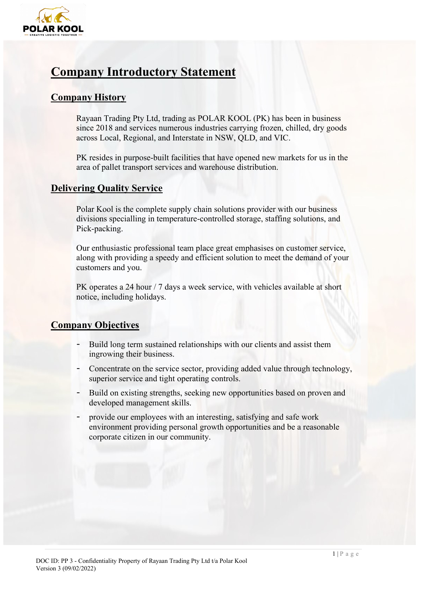

### <span id="page-2-0"></span>**Company Introductory Statement**

#### <span id="page-2-1"></span>**Company History**

Rayaan Trading Pty Ltd, trading as POLAR KOOL (PK) has been in business since 2018 and services numerous industries carrying frozen, chilled, dry goods across Local, Regional, and Interstate in NSW, QLD, and VIC.

PK resides in purpose-built facilities that have opened new markets for us in the area of pallet transport services and warehouse distribution.

#### <span id="page-2-2"></span>**Delivering Quality Service**

Polar Kool is the complete supply chain solutions provider with our business divisions specialling in temperature-controlled storage, staffing solutions, and Pick-packing.

Our enthusiastic professional team place great emphasises on customer service, along with providing a speedy and efficient solution to meet the demand of your customers and you.

PK operates a 24 hour / 7 days a week service, with vehicles available at short notice, including holidays.

#### <span id="page-2-3"></span>**Company Objectives**

- Build long term sustained relationships with our clients and assist them ingrowing their business.
- Concentrate on the service sector, providing added value through technology, superior service and tight operating controls.
- Build on existing strengths, seeking new opportunities based on proven and developed management skills.
- provide our employees with an interesting, satisfying and safe work environment providing personal growth opportunities and be a reasonable corporate citizen in our community.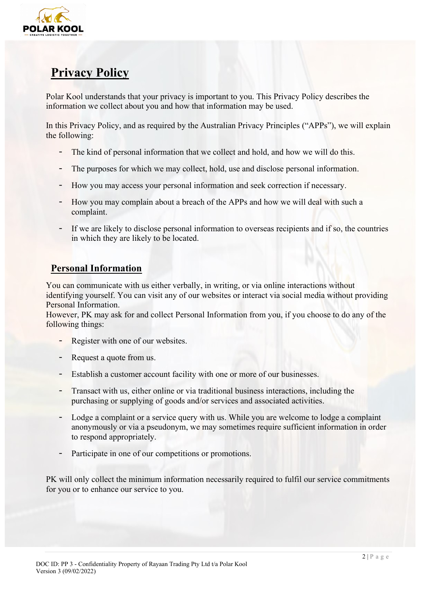

## <span id="page-3-0"></span>**Privacy Policy**

Polar Kool understands that your privacy is important to you. This Privacy Policy describes the information we collect about you and how that information may be used.

In this Privacy Policy, and as required by the Australian Privacy Principles ("APPs"), we will explain the following:

- The kind of personal information that we collect and hold, and how we will do this.
- The purposes for which we may collect, hold, use and disclose personal information.
- How you may access your personal information and seek correction if necessary.
- How you may complain about a breach of the APPs and how we will deal with such a complaint.
- If we are likely to disclose personal information to overseas recipients and if so, the countries in which they are likely to be located.

#### <span id="page-3-1"></span>**Personal Information**

You can communicate with us either verbally, in writing, or via online interactions without identifying yourself. You can visit any of our websites or interact via social media without providing Personal Information.

However, PK may ask for and collect Personal Information from you, if you choose to do any of the following things:

- Register with one of our websites.
- Request a quote from us.
- Establish a customer account facility with one or more of our businesses.
- Transact with us, either online or via traditional business interactions, including the purchasing or supplying of goods and/or services and associated activities.
- Lodge a complaint or a service query with us. While you are welcome to lodge a complaint anonymously or via a pseudonym, we may sometimes require sufficient information in order to respond appropriately.
- Participate in one of our competitions or promotions.

PK will only collect the minimum information necessarily required to fulfil our service commitments for you or to enhance our service to you.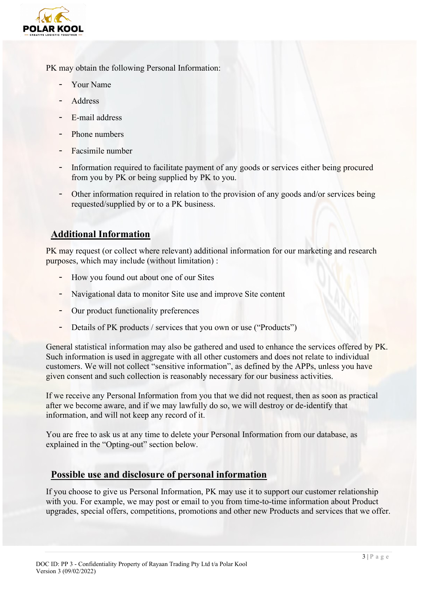

PK may obtain the following Personal Information:

- Your Name
- **Address**
- E-mail address
- Phone numbers
- Facsimile number
- Information required to facilitate payment of any goods or services either being procured from you by PK or being supplied by PK to you.
- Other information required in relation to the provision of any goods and/or services being requested/supplied by or to a PK business.

#### <span id="page-4-0"></span>**Additional Information**

PK may request (or collect where relevant) additional information for our marketing and research purposes, which may include (without limitation) :

- How you found out about one of our Sites
- Navigational data to monitor Site use and improve Site content
- Our product functionality preferences
- Details of PK products / services that you own or use ("Products")

General statistical information may also be gathered and used to enhance the services offered by PK. Such information is used in aggregate with all other customers and does not relate to individual customers. We will not collect "sensitive information", as defined by the APPs, unless you have given consent and such collection is reasonably necessary for our business activities.

If we receive any Personal Information from you that we did not request, then as soon as practical after we become aware, and if we may lawfully do so, we will destroy or de-identify that information, and will not keep any record of it.

You are free to ask us at any time to delete your Personal Information from our database, as explained in the "Opting-out" section below.

#### <span id="page-4-1"></span>**Possible use and disclosure of personal information**

If you choose to give us Personal Information, PK may use it to support our customer relationship with you. For example, we may post or email to you from time-to-time information about Product upgrades, special offers, competitions, promotions and other new Products and services that we offer.